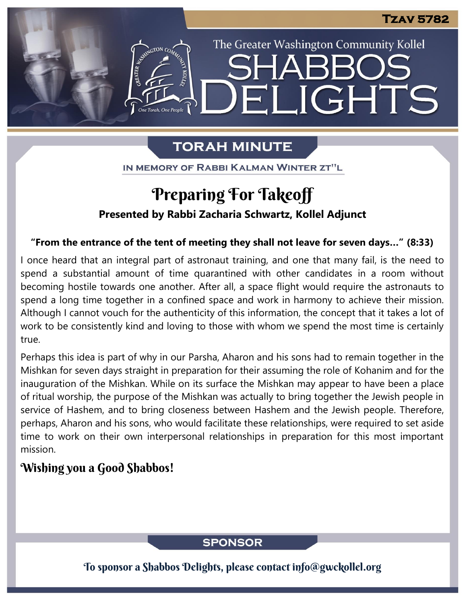The Greater Washington Community Kollel

IGHTS

# **TORAH MINUTE**

FI

IN MEMORY OF RABBI KALMAN WINTER ZT"L

# Preparing For Takeoff

### **Presented by Rabbi Zacharia Schwartz, Kollel Adjunct**

#### **"From the entrance of the tent of meeting they shall not leave for seven days…" (8:33)**

I once heard that an integral part of astronaut training, and one that many fail, is the need to spend a substantial amount of time quarantined with other candidates in a room without becoming hostile towards one another. After all, a space flight would require the astronauts to spend a long time together in a confined space and work in harmony to achieve their mission. Although I cannot vouch for the authenticity of this information, the concept that it takes a lot of work to be consistently kind and loving to those with whom we spend the most time is certainly true.

Perhaps this idea is part of why in our Parsha, Aharon and his sons had to remain together in the Mishkan for seven days straight in preparation for their assuming the role of Kohanim and for the inauguration of the Mishkan. While on its surface the Mishkan may appear to have been a place of ritual worship, the purpose of the Mishkan was actually to bring together the Jewish people in service of Hashem, and to bring closeness between Hashem and the Jewish people. Therefore, perhaps, Aharon and his sons, who would facilitate these relationships, were required to set aside time to work on their own interpersonal relationships in preparation for this most important mission.

## Wishing you a Good Shabbos!

### **SPONSOR**

To sponsor a Shabbos Delights, please contact info@gwckollel.org